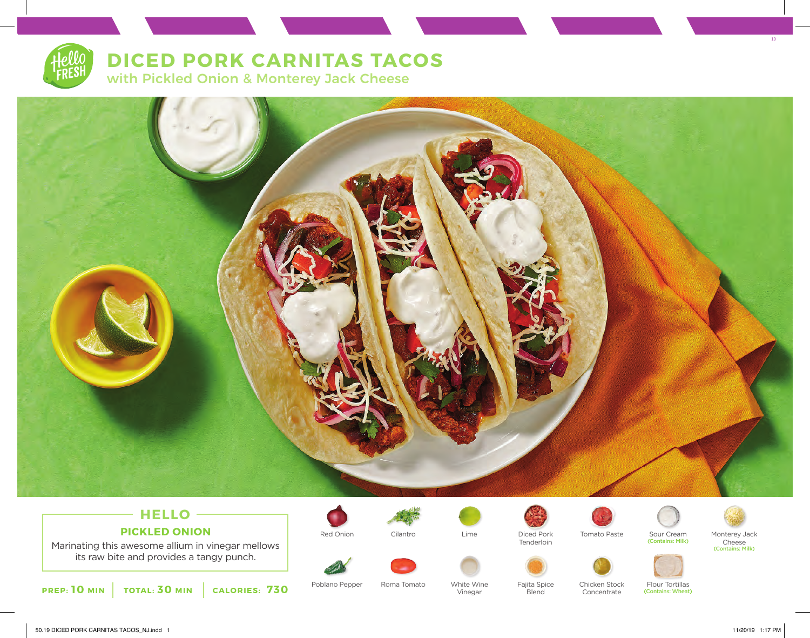## **DICED PORK CARNITAS TACOS**

with Pickled Onion & Monterey Jack Cheese



### **HELLO PICKLED ONION**

Marinating this awesome allium in vinegar mellows its raw bite and provides a tangy punch.







Vinegar

Tenderloin



Sour Cream (Contains: Milk) Tomato Paste Sour Cream Monterey Jack



Cheese (Contains: Milk)

Poblano Pepper Roma Tomato White Wine Fajita Spice Roma Tomato

White Wine

**Blend** 

Chicken Stock Concentrate

Flour Tortillas (Contains: Wheat)

19